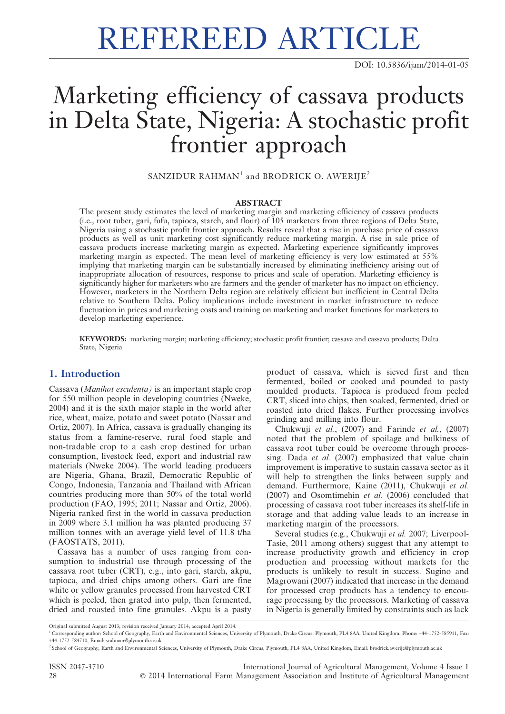# REFEREED ARTICLE

DOI: 10.5836/ijam/2014-01-05

## Marketing efficiency of cassava products in Delta State, Nigeria: A stochastic profit frontier approach

SANZIDUR RAHMAN<sup>1</sup> and BRODRICK O. AWERIJE<sup>2</sup>

#### ABSTRACT

The present study estimates the level of marketing margin and marketing efficiency of cassava products (i.e., root tuber, gari, fufu, tapioca, starch, and flour) of 105 marketers from three regions of Delta State, Nigeria using a stochastic profit frontier approach. Results reveal that a rise in purchase price of cassava products as well as unit marketing cost significantly reduce marketing margin. A rise in sale price of cassava products increase marketing margin as expected. Marketing experience significantly improves marketing margin as expected. The mean level of marketing efficiency is very low estimated at 55% implying that marketing margin can be substantially increased by eliminating inefficiency arising out of inappropriate allocation of resources, response to prices and scale of operation. Marketing efficiency is significantly higher for marketers who are farmers and the gender of marketer has no impact on efficiency. However, marketers in the Northern Delta region are relatively efficient but inefficient in Central Delta relative to Southern Delta. Policy implications include investment in market infrastructure to reduce fluctuation in prices and marketing costs and training on marketing and market functions for marketers to develop marketing experience.

KEYWORDS: marketing margin; marketing efficiency; stochastic profit frontier; cassava and cassava products; Delta State, Nigeria

#### 1. Introduction

Cassava (Manihot esculenta) is an important staple crop for 550 million people in developing countries (Nweke, 2004) and it is the sixth major staple in the world after rice, wheat, maize, potato and sweet potato (Nassar and Ortiz, 2007). In Africa, cassava is gradually changing its status from a famine-reserve, rural food staple and non-tradable crop to a cash crop destined for urban consumption, livestock feed, export and industrial raw materials (Nweke 2004). The world leading producers are Nigeria, Ghana, Brazil, Democratic Republic of Congo, Indonesia, Tanzania and Thailand with African countries producing more than 50% of the total world production (FAO, 1995; 2011; Nassar and Ortiz, 2006). Nigeria ranked first in the world in cassava production in 2009 where 3.1 million ha was planted producing 37 million tonnes with an average yield level of 11.8 t/ha (FAOSTATS, 2011).

Cassava has a number of uses ranging from consumption to industrial use through processing of the cassava root tuber (CRT), e.g., into gari, starch, akpu, tapioca, and dried chips among others. Gari are fine white or yellow granules processed from harvested CRT which is peeled, then grated into pulp, then fermented, dried and roasted into fine granules. Akpu is a pasty

product of cassava, which is sieved first and then fermented, boiled or cooked and pounded to pasty moulded products. Tapioca is produced from peeled CRT, sliced into chips, then soaked, fermented, dried or roasted into dried flakes. Further processing involves grinding and milling into flour.

Chukwuji et al., (2007) and Farinde et al., (2007) noted that the problem of spoilage and bulkiness of cassava root tuber could be overcome through processing. Dada et al. (2007) emphasized that value chain improvement is imperative to sustain cassava sector as it will help to strengthen the links between supply and demand. Furthermore, Kaine (2011), Chukwuji et al. (2007) and Osomtimehin et al. (2006) concluded that processing of cassava root tuber increases its shelf-life in storage and that adding value leads to an increase in marketing margin of the processors.

Several studies (e.g., Chukwuji et al. 2007; Liverpool-Tasie, 2011 among others) suggest that any attempt to increase productivity growth and efficiency in crop production and processing without markets for the products is unlikely to result in success. Sugino and Magrowani (2007) indicated that increase in the demand for processed crop products has a tendency to encourage processing by the processors. Marketing of cassava in Nigeria is generally limited by constraints such as lack

ISSN 2047-3710 International Journal of Agricultural Management, Volume 4 Issue 1 28 **C** 2014 International Farm Management Association and Institute of Agricultural Management

Original submitted August 2013; revision received January 2014; accepted April 2014.

<sup>1</sup> Corresponding author: School of Geography, Earth and Environmental Sciences, University of Plymouth, Drake Circus, Plymouth, PL4 8AA, United Kingdom, Phone: +44-1752-585911, Fax: +44-1752-584710, Email: srahman@plymouth.ac.uk

<sup>&</sup>lt;sup>2</sup> School of Geography, Earth and Environmental Sciences, University of Plymouth, Drake Circus, Plymouth, PL4 8AA, United Kingdom, Email: brodrick.awerije@plymouth.ac.uk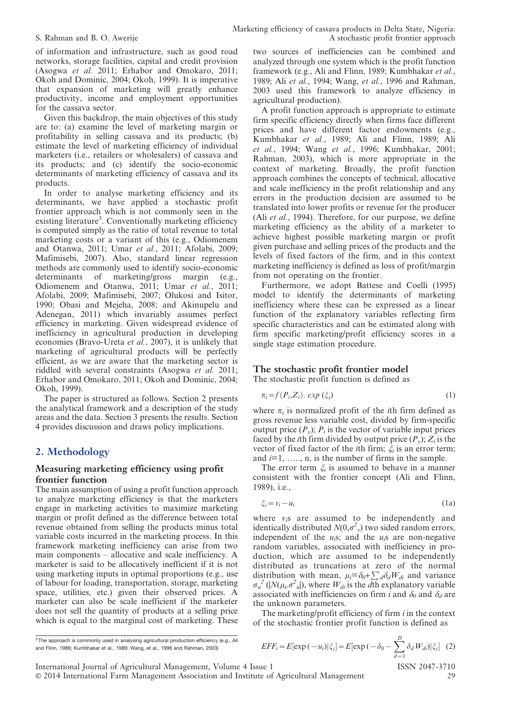of information and infrastructure, such as good road networks, storage facilities, capital and credit provision (Asogwa et al. 2011; Erhabor and Omokaro, 2011; Okoh and Dominic, 2004; Okoh, 1999). It is imperative that expansion of marketing will greatly enhance productivity, income and employment opportunities for the cassava sector.

Given this backdrop, the main objectives of this study are to: (a) examine the level of marketing margin or profitability in selling cassava and its products; (b) estimate the level of marketing efficiency of individual marketers (i.e., retailers or wholesalers) of cassava and its products; and (c) identify the socio-economic determinants of marketing efficiency of cassava and its products.

In order to analyse marketing efficiency and its determinants, we have applied a stochastic profit frontier approach which is not commonly seen in the existing literature<sup>3</sup>. Conventionally marketing efficiency is computed simply as the ratio of total revenue to total marketing costs or a variant of this (e.g., Odiomenem and Otanwa, 2011; Umar et al., 2011; Afolabi, 2009; Mafimisebi, 2007). Also, standard linear regression methods are commonly used to identify socio-economic determinants of marketing/gross margin (e.g., Odiomenem and Otanwa, 2011; Umar et al., 2011; Afolabi, 2009; Mafimisebi, 2007; Olukosi and Isitor, 1990; Obasi and Mejeha, 2008; and Akinupelu and Adenegan, 2011) which invariably assumes perfect efficiency in marketing. Given widespread evidence of inefficiency in agricultural production in developing economies (Bravo-Ureta et al., 2007), it is unlikely that marketing of agricultural products will be perfectly efficient, as we are aware that the marketing sector is riddled with several constraints (Asogwa et al. 2011; Erhabor and Omokaro, 2011; Okoh and Dominic, 2004; Okoh, 1999).

The paper is structured as follows. Section 2 presents the analytical framework and a description of the study areas and the data. Section 3 presents the results. Section 4 provides discussion and draws policy implications.

### 2. Methodology

#### Measuring marketing efficiency using profit frontier function

The main assumption of using a profit function approach to analyze marketing efficiency is that the marketers engage in marketing activities to maximize marketing margin or profit defined as the difference between total revenue obtained from selling the products minus total variable costs incurred in the marketing process. In this framework marketing inefficiency can arise from two main components – allocative and scale inefficiency. A marketer is said to be allocatively inefficient if it is not using marketing inputs in optimal proportions (e.g., use of labour for loading, transportation, storage, marketing space, utilities, etc.) given their observed prices. A marketer can also be scale inefficient if the marketer does not sell the quantity of products at a selling price which is equal to the marginal cost of marketing. These two sources of inefficiencies can be combined and analyzed through one system which is the profit function framework (e.g., Ali and Flinn, 1989; Kumbhakar et al., 1989; Ali et al., 1994; Wang, et al., 1996 and Rahman, 2003 used this framework to analyze efficiency in agricultural production).

A profit function approach is appropriate to estimate firm specific efficiency directly when firms face different prices and have different factor endowments (e.g., Kumbhakar et al., 1989; Ali and Flinn, 1989; Ali et al., 1994; Wang et al., 1996; Kumbhakar, 2001; Rahman, 2003), which is more appropriate in the context of marketing. Broadly, the profit function approach combines the concepts of technical, allocative and scale inefficiency in the profit relationship and any errors in the production decision are assumed to be translated into lower profits or revenue for the producer (Ali et al., 1994). Therefore, for our purpose, we define marketing efficiency as the ability of a marketer to achieve highest possible marketing margin or profit given purchase and selling prices of the products and the levels of fixed factors of the firm, and in this context marketing inefficiency is defined as loss of profit/margin from not operating on the frontier.

Furthermore, we adopt Battese and Coelli (1995) model to identify the determinants of marketing inefficiency where these can be expressed as a linear function of the explanatory variables reflecting firm specific characteristics and can be estimated along with firm specific marketing/profit efficiency scores in a single stage estimation procedure.

#### The stochastic profit frontier model

The stochastic profit function is defined as

$$
\pi_i = f(P_i, Z_i). \exp\left(\xi_i\right) \tag{1}
$$

where  $\pi_i$  is normalized profit of the *i*th firm defined as gross revenue less variable cost, divided by firm-specific output price  $(P_v)$ ;  $P_i$  is the vector of variable input prices faced by the *i*th firm divided by output price  $(P_v)$ ;  $Z_i$  is the vector of fixed factor of the *i*th firm;  $\xi$  is an error term; and  $i=1, \ldots, n$ , is the number of firms in the sample.

The error term  $\xi$  is assumed to behave in a manner consistent with the frontier concept (Ali and Flinn, 1989), i.e.,

$$
\xi_i = v_i - u_i \tag{1a}
$$

where  $v_i$  are assumed to be independently and identically distributed  $N(0, \sigma^2)$ , two sided random errors, independent of the  $u_i$ s; and the  $u_i$ s are non-negative random variables, associated with inefficiency in production, which are assumed to be independently distributed as truncations at zero of the normal distribution with mean,  $\mu_i = \delta_0 + \sum_{d} \delta_d W_{di}$  and variance  $\sigma_u^2$  (|N( $\mu_i$ , $\sigma_u^2$ )), where  $W_{di}$  is the dth explanatory variable associated with inefficiencies on firm i and  $\delta_0$  and  $\delta_d$  are the unknown parameters.

The marketing/profit efficiency of firm  $i$  in the context of the stochastic frontier profit function is defined as

' 2014 International Farm Management Association and Institute of Agricultural Management 29

 $\delta_d W_{di})\big|\xi_i\big|$  (2)

 $\overline{d=1}$ 

<sup>&</sup>lt;sup>3</sup> The approach is commonly used in analysing agricultural production efficiency (e.g., Ali and Flinn, 1989; Kumbhakar et al., 1989; Wang, et al., 1996 and Rahman, 2003)

 $EFF_i = E[exp(-u_i)|\xi_i] = E[exp(-\delta_0 - \sum_{i=1}^{D}$ International Journal of Agricultural Management, Volume 4 Issue 1 ISSN 2047-3710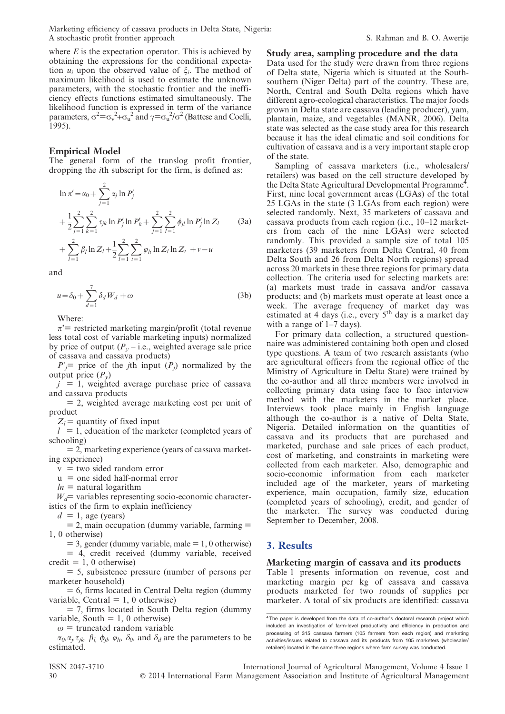where  $E$  is the expectation operator. This is achieved by obtaining the expressions for the conditional expectation  $u_i$  upon the observed value of  $\xi_i$ . The method of maximum likelihood is used to estimate the unknown parameters, with the stochastic frontier and the inefficiency effects functions estimated simultaneously. The likelihood function is expressed in term of the variance parameters,  $\sigma^2 = \sigma_v^2 + \sigma_u^2$  and  $\gamma = \sigma_u^2/\sigma^2$  (Battese and Coelli, 1995).

#### Empirical Model

The general form of the translog profit frontier, dropping the ith subscript for the firm, is defined as:

$$
\ln \pi' = \alpha_0 + \sum_{j=1}^2 \alpha_j \ln P'_j
$$
  
+  $\frac{1}{2} \sum_{j=1}^2 \sum_{k=1}^2 \tau_{jk} \ln P'_j \ln P'_k + \sum_{j=1}^2 \sum_{l=1}^2 \phi_{jl} \ln P'_j \ln Z_l$  (3a)  
+  $\sum_{l=1}^2 \beta_l \ln Z_l + \frac{1}{2} \sum_{l=1}^2 \sum_{l=1}^2 \varphi_{lk} \ln Z_l \ln Z_l + v - u$ 

and

$$
u = \delta_0 + \sum_{d=1}^{7} \delta_d W_d + \omega \tag{3b}
$$

Where:

 $l=1$ 

 $\pi$ <sup>-</sup> restricted marketing margin/profit (total revenue less total cost of variable marketing inputs) normalized by price of output ( $P_y$  – i.e., weighted average sale price of cassava and cassava products)

 $P'$  price of the *j*th input  $(P_i)$  normalized by the output price  $(P_v)$ 

 $j = 1$ , weighted average purchase price of cassava and cassava products

= 2, weighted average marketing cost per unit of product

 $Z_l$  = quantity of fixed input

 $l = 1$ , education of the marketer (completed years of schooling)

 $= 2$ , marketing experience (years of cassava marketing experience)

 $v =$  two sided random error

 $u =$  one sided half-normal error

 $ln =$ natural logarithm

 $W_d$ = variables representing socio-economic characteristics of the firm to explain inefficiency

 $d = 1$ , age (years)

 $= 2$ , main occupation (dummy variable, farming  $=$ 1, 0 otherwise)

 $= 3$ , gender (dummy variable, male  $= 1, 0$  otherwise) = 4, credit received (dummy variable, received credit  $= 1, 0$  otherwise)

= 5, subsistence pressure (number of persons per marketer household)

 $= 6$ , firms located in Central Delta region (dummy variable, Central  $= 1, 0$  otherwise)

 $= 7$ , firms located in South Delta region (dummy variable, South  $= 1, 0$  otherwise)

 $\omega$  = truncated random variable

 $\alpha_0, \alpha_j, \tau_{jk}, \beta_l, \phi_{jb}, \varphi_{lt}, \delta_0$ , and  $\delta_d$  are the parameters to be estimated.

Study area, sampling procedure and the data Data used for the study were drawn from three regions of Delta state, Nigeria which is situated at the Southsouthern (Niger Delta) part of the country. These are, North, Central and South Delta regions which have different agro-ecological characteristics. The major foods grown in Delta state are cassava (leading producer), yam, plantain, maize, and vegetables (MANR, 2006). Delta state was selected as the case study area for this research because it has the ideal climatic and soil conditions for cultivation of cassava and is a very important staple crop of the state.

Sampling of cassava marketers (i.e., wholesalers/ retailers) was based on the cell structure developed by the Delta State Agricultural Developmental Programme<sup>4</sup>. First, nine local government areas (LGAs) of the total 25 LGAs in the state (3 LGAs from each region) were selected randomly. Next, 35 marketers of cassava and cassava products from each region (i.e., 10–12 marketers from each of the nine LGAs) were selected randomly. This provided a sample size of total 105 marketers (39 marketers from Delta Central, 40 from Delta South and 26 from Delta North regions) spread across 20 markets in these three regions for primary data collection. The criteria used for selecting markets are: (a) markets must trade in cassava and/or cassava products; and (b) markets must operate at least once a week. The average frequency of market day was estimated at 4 days (i.e., every 5<sup>th</sup> day is a market day with a range of 1–7 days).

For primary data collection, a structured questionnaire was administered containing both open and closed type questions. A team of two research assistants (who are agricultural officers from the regional office of the Ministry of Agriculture in Delta State) were trained by the co-author and all three members were involved in collecting primary data using face to face interview method with the marketers in the market place. Interviews took place mainly in English language although the co-author is a native of Delta State, Nigeria. Detailed information on the quantities of cassava and its products that are purchased and marketed, purchase and sale prices of each product, cost of marketing, and constraints in marketing were collected from each marketer. Also, demographic and socio-economic information from each marketer included age of the marketer, years of marketing experience, main occupation, family size, education (completed years of schooling), credit, and gender of the marketer. The survey was conducted during September to December, 2008.

### 3. Results

#### Marketing margin of cassava and its products

Table 1 presents information on revenue, cost and marketing margin per kg of cassava and cassava products marketed for two rounds of supplies per marketer. A total of six products are identified: cassava

<sup>&</sup>lt;sup>4</sup> The paper is developed from the data of co-author's doctoral research project which included an investigation of farm-level productivity and efficiency in production and processing of 315 cassava farmers (105 farmers from each region) and marketing activities/issues related to cassava and its products from 105 marketers (wholesaler/ retailers) located in the same three regions where farm survey was conducted.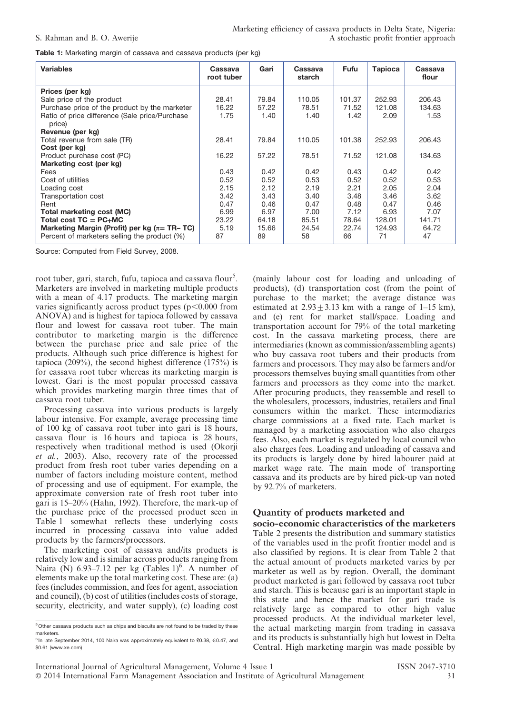Table 1: Marketing margin of cassava and cassava products (per kg)

| <b>Variables</b>                                         | <b>Cassava</b><br>root tuber | Gari  | Cassava<br>starch | Fufu   | <b>Tapioca</b> | Cassava<br>flour |
|----------------------------------------------------------|------------------------------|-------|-------------------|--------|----------------|------------------|
| Prices (per kg)                                          |                              |       |                   |        |                |                  |
| Sale price of the product                                | 28.41                        | 79.84 | 110.05            | 101.37 | 252.93         | 206.43           |
| Purchase price of the product by the marketer            | 16.22                        | 57.22 | 78.51             | 71.52  | 121.08         | 134.63           |
| Ratio of price difference (Sale price/Purchase<br>price) | 1.75                         | 1.40  | 1.40              | 1.42   | 2.09           | 1.53             |
| Revenue (per kg)                                         |                              |       |                   |        |                |                  |
| Total revenue from sale (TR)                             | 28.41                        | 79.84 | 110.05            | 101.38 | 252.93         | 206.43           |
| Cost (per kg)                                            |                              |       |                   |        |                |                  |
| Product purchase cost (PC)                               | 16.22                        | 57.22 | 78.51             | 71.52  | 121.08         | 134.63           |
| Marketing cost (per kg)                                  |                              |       |                   |        |                |                  |
| Fees                                                     | 0.43                         | 0.42  | 0.42              | 0.43   | 0.42           | 0.42             |
| Cost of utilities                                        | 0.52                         | 0.52  | 0.53              | 0.52   | 0.52           | 0.53             |
| Loading cost                                             | 2.15                         | 2.12  | 2.19              | 2.21   | 2.05           | 2.04             |
| Transportation cost                                      | 3.42                         | 3.43  | 3.40              | 3.48   | 3.46           | 3.62             |
| Rent                                                     | 0.47                         | 0.46  | 0.47              | 0.48   | 0.47           | 0.46             |
| <b>Total marketing cost (MC)</b>                         | 6.99                         | 6.97  | 7.00              | 7.12   | 6.93           | 7.07             |
| Total cost $TC = PC+MC$                                  | 23.22                        | 64.18 | 85.51             | 78.64  | 128.01         | 141.71           |
| Marketing Margin (Profit) per kg ( $\pi$ = TR– TC)       | 5.19                         | 15.66 | 24.54             | 22.74  | 124.93         | 64.72            |
| Percent of marketers selling the product (%)             | 87                           | 89    | 58                | 66     | 71             | 47               |

Source: Computed from Field Survey, 2008.

root tuber, gari, starch, fufu, tapioca and cassava flour<sup>5</sup>. Marketers are involved in marketing multiple products with a mean of 4.17 products. The marketing margin varies significantly across product types  $(p<0.000$  from ANOVA) and is highest for tapioca followed by cassava flour and lowest for cassava root tuber. The main contributor to marketing margin is the difference between the purchase price and sale price of the products. Although such price difference is highest for tapioca (209%), the second highest difference  $(175%)$  is for cassava root tuber whereas its marketing margin is lowest. Gari is the most popular processed cassava which provides marketing margin three times that of cassava root tuber.

Processing cassava into various products is largely labour intensive. For example, average processing time of 100 kg of cassava root tuber into gari is 18 hours, cassava flour is 16 hours and tapioca is 28 hours, respectively when traditional method is used (Okorji et al., 2003). Also, recovery rate of the processed product from fresh root tuber varies depending on a number of factors including moisture content, method of processing and use of equipment. For example, the approximate conversion rate of fresh root tuber into gari is 15–20% (Hahn, 1992). Therefore, the mark-up of the purchase price of the processed product seen in Table 1 somewhat reflects these underlying costs incurred in processing cassava into value added products by the farmers/processors.

The marketing cost of cassava and/its products is relatively low and is similar across products ranging from Naira (N) 6.93–7.12 per kg (Tables  $1$ <sup>6</sup>. A number of elements make up the total marketing cost. These are: (a) fees (includes commission, and fees for agent, association and council), (b) cost of utilities (includes costs of storage, security, electricity, and water supply), (c) loading cost

(mainly labour cost for loading and unloading of products), (d) transportation cost (from the point of purchase to the market; the average distance was estimated at  $2.93 + 3.13$  km with a range of 1–15 km), and (e) rent for market stall/space. Loading and transportation account for 79% of the total marketing cost. In the cassava marketing process, there are intermediaries (known as commission/assembling agents) who buy cassava root tubers and their products from farmers and processors. They may also be farmers and/or processors themselves buying small quantities from other farmers and processors as they come into the market. After procuring products, they reassemble and resell to the wholesalers, processors, industries, retailers and final consumers within the market. These intermediaries charge commissions at a fixed rate. Each market is managed by a marketing association who also charges fees. Also, each market is regulated by local council who also charges fees. Loading and unloading of cassava and its products is largely done by hired labourer paid at market wage rate. The main mode of transporting cassava and its products are by hired pick-up van noted by 92.7% of marketers.

### Quantity of products marketed and

socio-economic characteristics of the marketers Table 2 presents the distribution and summary statistics of the variables used in the profit frontier model and is also classified by regions. It is clear from Table 2 that the actual amount of products marketed varies by per marketer as well as by region. Overall, the dominant product marketed is gari followed by cassava root tuber and starch. This is because gari is an important staple in this state and hence the market for gari trade is relatively large as compared to other high value processed products. At the individual marketer level, the actual marketing margin from trading in cassava and its products is substantially high but lowest in Delta Central. High marketing margin was made possible by

<sup>5</sup> Other cassava products such as chips and biscuits are not found to be traded by these marketers.

 $6$  In late September 2014, 100 Naira was approximately equivalent to £0.38,  $\in$ 0.47, and \$0.61 (www.xe.com)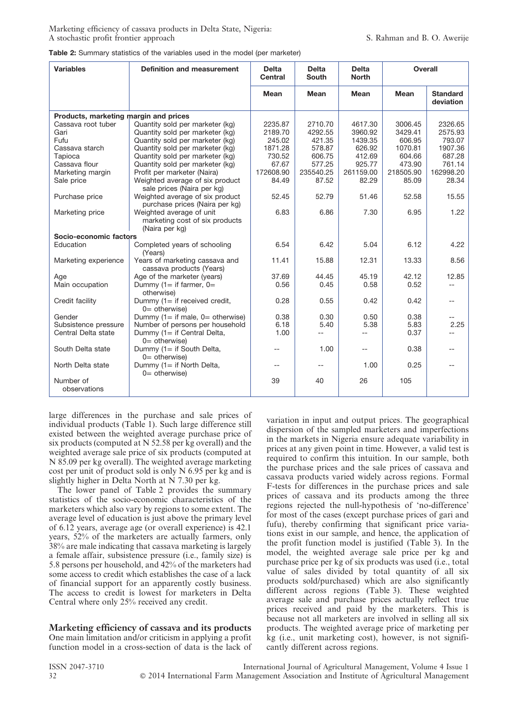Marketing efficiency of cassava products in Delta State, Nigeria: A stochastic profit frontier approach S. Rahman and B. O. Awerije

| Table 2: Summary statistics of the variables used in the model (per marketer) |  |
|-------------------------------------------------------------------------------|--|
|-------------------------------------------------------------------------------|--|

| <b>Variables</b>                      | <b>Definition and measurement</b>                                            | <b>Delta</b><br><b>Central</b> | <b>Delta</b><br><b>South</b> | <b>Delta</b><br><b>North</b> | <b>Overall</b> |                              |
|---------------------------------------|------------------------------------------------------------------------------|--------------------------------|------------------------------|------------------------------|----------------|------------------------------|
|                                       |                                                                              | Mean                           | Mean                         | Mean                         | Mean           | <b>Standard</b><br>deviation |
| Products, marketing margin and prices |                                                                              |                                |                              |                              |                |                              |
| Cassava root tuber                    | Quantity sold per marketer (kg)                                              | 2235.87                        | 2710.70                      | 4617.30                      | 3006.45        | 2326.65                      |
| Gari                                  | Quantity sold per marketer (kg)                                              | 2189.70                        | 4292.55                      | 3960.92                      | 3429.41        | 2575.93                      |
| Fufu                                  | Quantity sold per marketer (kg)                                              | 245.02                         | 421.35                       | 1439.35                      | 606.95         | 793.07                       |
| Cassava starch                        | Quantity sold per marketer (kg)                                              | 1871.28                        | 578.87                       | 626.92                       | 1070.81        | 1907.36                      |
| Tapioca                               | Quantity sold per marketer (kg)                                              | 730.52                         | 606.75                       | 412.69                       | 604.66         | 687.28                       |
| Cassava flour                         | Quantity sold per marketer (kg)                                              | 67.67                          | 577.25                       | 925.77                       | 473.90         | 761.14                       |
| Marketing margin                      | Profit per marketer (Naira)                                                  | 172608.90                      | 235540.25                    | 261159.00                    | 218505.90      | 162998.20                    |
| Sale price                            | Weighted average of six product<br>sale prices (Naira per kg)                | 84.49                          | 87.52                        | 82.29                        | 85.09          | 28.34                        |
| Purchase price                        | Weighted average of six product<br>purchase prices (Naira per kg)            | 52.45                          | 52.79                        | 51.46                        | 52.58          | 15.55                        |
| Marketing price                       | Weighted average of unit<br>marketing cost of six products<br>(Naira per kg) | 6.83                           | 6.86                         | 7.30                         | 6.95           | 1.22                         |
| Socio-economic factors                |                                                                              |                                |                              |                              |                |                              |
| Education                             | Completed years of schooling<br>(Years)                                      | 6.54                           | 6.42                         | 5.04                         | 6.12           | 4.22                         |
| Marketing experience                  | Years of marketing cassava and<br>cassava products (Years)                   | 11.41                          | 15.88                        | 12.31                        | 13.33          | 8.56                         |
| Age                                   | Age of the marketer (years)                                                  | 37.69                          | 44.45                        | 45.19                        | 42.12          | 12.85                        |
| Main occupation                       | Dummy $(1 = if farmer, 0 =$<br>otherwise)                                    | 0.56                           | 0.45                         | 0.58                         | 0.52           | $-$                          |
| Credit facility                       | Dummy $(1 = if received credit,$<br>$0=$ otherwise)                          | 0.28                           | 0.55                         | 0.42                         | 0.42           | $- -$                        |
| Gender                                | Dummy $(1 = if male, 0 = otherwise)$                                         | 0.38                           | 0.30                         | 0.50                         | 0.38           |                              |
| Subsistence pressure                  | Number of persons per household                                              | 6.18                           | 5.40                         | 5.38                         | 5.83           | 2.25                         |
| Central Delta state                   | Dummy (1= if Central Delta,<br>$0=$ otherwise)                               | 1.00                           |                              |                              | 0.37           | $=$                          |
| South Delta state                     | Dummy $(1 = if South Delta,$<br>$0=$ otherwise)                              |                                | 1.00                         | $-$                          | 0.38           |                              |
| North Delta state                     | Dummy (1= if North Delta,<br>$0=$ otherwise)                                 | $-$                            | $-$                          | 1.00                         | 0.25           | $-$                          |
| Number of<br>observations             |                                                                              | 39                             | 40                           | 26                           | 105            |                              |

large differences in the purchase and sale prices of individual products (Table 1). Such large difference still existed between the weighted average purchase price of six products (computed at N 52.58 per kg overall) and the weighted average sale price of six products (computed at N 85.09 per kg overall). The weighted average marketing cost per unit of product sold is only N 6.95 per kg and is slightly higher in Delta North at N 7.30 per kg.

The lower panel of Table 2 provides the summary statistics of the socio-economic characteristics of the marketers which also vary by regions to some extent. The average level of education is just above the primary level of 6.12 years, average age (or overall experience) is 42.1 years, 52% of the marketers are actually farmers, only 38% are male indicating that cassava marketing is largely a female affair, subsistence pressure (i.e., family size) is 5.8 persons per household, and 42% of the marketers had some access to credit which establishes the case of a lack of financial support for an apparently costly business. The access to credit is lowest for marketers in Delta Central where only 25% received any credit.

Marketing efficiency of cassava and its products One main limitation and/or criticism in applying a profit function model in a cross-section of data is the lack of variation in input and output prices. The geographical dispersion of the sampled marketers and imperfections in the markets in Nigeria ensure adequate variability in prices at any given point in time. However, a valid test is required to confirm this intuition. In our sample, both the purchase prices and the sale prices of cassava and cassava products varied widely across regions. Formal F-tests for differences in the purchase prices and sale prices of cassava and its products among the three regions rejected the null-hypothesis of 'no-difference' for most of the cases (except purchase prices of gari and fufu), thereby confirming that significant price variations exist in our sample, and hence, the application of the profit function model is justified (Table 3). In the model, the weighted average sale price per kg and purchase price per kg of six products was used (i.e., total value of sales divided by total quantity of all six products sold/purchased) which are also significantly different across regions (Table 3). These weighted average sale and purchase prices actually reflect true prices received and paid by the marketers. This is because not all marketers are involved in selling all six products. The weighted average price of marketing per kg (i.e., unit marketing cost), however, is not significantly different across regions.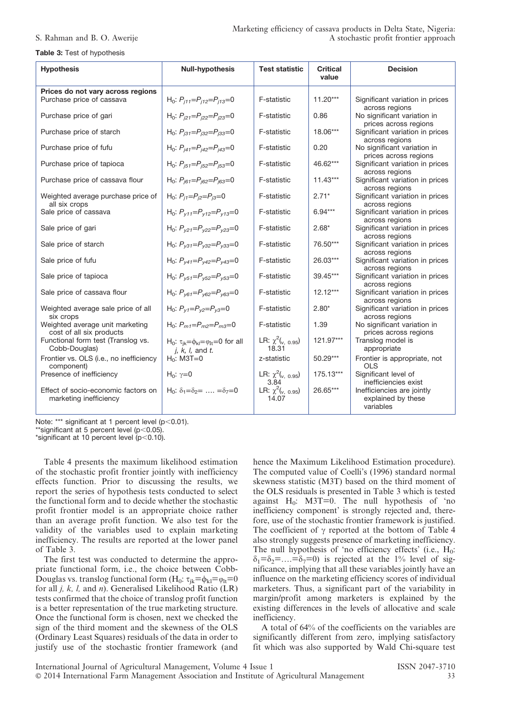#### Table 3: Test of hypothesis

| <b>Hypothesis</b>                                              | <b>Null-hypothesis</b>                                                                   | <b>Test statistic</b>                    | <b>Critical</b><br>value | <b>Decision</b>                                               |
|----------------------------------------------------------------|------------------------------------------------------------------------------------------|------------------------------------------|--------------------------|---------------------------------------------------------------|
| Prices do not vary across regions<br>Purchase price of cassava | H <sub>0</sub> : $P_{i11} = P_{i12} = P_{i13} = 0$                                       | F-statistic                              | $11.20***$               | Significant variation in prices<br>across regions             |
| Purchase price of gari                                         | H <sub>0</sub> : $P_{i21} = P_{i22} = P_{i23} = 0$                                       | F-statistic                              | 0.86                     | No significant variation in<br>prices across regions          |
| Purchase price of starch                                       | H <sub>0</sub> : $P_{i31} = P_{i32} = P_{i33} = 0$                                       | F-statistic                              | 18.06***                 | Significant variation in prices<br>across regions             |
| Purchase price of fufu                                         | H <sub>0</sub> : $P_{i41} = P_{i42} = P_{i43} = 0$                                       | F-statistic                              | 0.20                     | No significant variation in<br>prices across regions          |
| Purchase price of tapioca                                      | H <sub>0</sub> : $P_{i51} = P_{i52} = P_{i53} = 0$                                       | F-statistic                              | 46.62***                 | Significant variation in prices<br>across regions             |
| Purchase price of cassava flour                                | H <sub>0</sub> : $P_{i61} = P_{i62} = P_{i63} = 0$                                       | F-statistic                              | $11.43***$               | Significant variation in prices<br>across regions             |
| Weighted average purchase price of<br>all six crops            | H <sub>0</sub> : $P_{i1} = P_{i2} = P_{i3} = 0$                                          | F-statistic                              | $2.71*$                  | Significant variation in prices<br>across regions             |
| Sale price of cassava                                          | H <sub>0</sub> : $P_{v11} = P_{v12} = P_{v13} = 0$                                       | F-statistic                              | $6.94***$                | Significant variation in prices<br>across regions             |
| Sale price of gari                                             | H <sub>0</sub> : $P_{y21} = P_{y22} = P_{y23} = 0$                                       | F-statistic                              | $2.68*$                  | Significant variation in prices<br>across regions             |
| Sale price of starch                                           | H <sub>0</sub> : $P_{v31} = P_{v32} = P_{v33} = 0$                                       | F-statistic                              | 76.50***                 | Significant variation in prices<br>across regions             |
| Sale price of fufu                                             | H <sub>0</sub> : $P_{v41} = P_{v42} = P_{v43} = 0$                                       | F-statistic                              | $26.03***$               | Significant variation in prices<br>across regions             |
| Sale price of tapioca                                          | H <sub>0</sub> : $P_{\gamma 51} = P_{\gamma 52} = P_{\gamma 53} = 0$                     | F-statistic                              | 39.45***                 | Significant variation in prices<br>across regions             |
| Sale price of cassava flour                                    | H <sub>0</sub> : $P_{\gamma61} = P_{\gamma62} = P_{\gamma63} = 0$                        | F-statistic                              | $12.12***$               | Significant variation in prices<br>across regions             |
| Weighted average sale price of all<br>six crops                | H <sub>0</sub> : $P_{V1} = P_{V2} = P_{V3} = 0$                                          | <b>F-statistic</b>                       | $2.80*$                  | Significant variation in prices<br>across regions             |
| Weighted average unit marketing<br>cost of all six products    | $H_0$ : $P_{m1} = P_{m2} = P_{m3} = 0$                                                   | F-statistic                              | 1.39                     | No significant variation in<br>prices across regions          |
| Functional form test (Translog vs.<br>Cobb-Douglas)            | H <sub>0</sub> : $\tau_{ik} = \phi_{kl} = \varphi_{lt} = 0$ for all<br>$i, k, l,$ and t. | LR: $\chi^2$ ( $v, 0.95$ )<br>18.31      | 121.97***                | Translog model is<br>appropriate                              |
| Frontier vs. OLS (i.e., no inefficiency<br>component)          | $H_0$ : M3T=0                                                                            | z-statistic                              | $50.29***$               | Frontier is appropriate, not<br>OLS                           |
| Presence of inefficiency                                       | $H_0: γ=0$                                                                               | LR: $\chi^2$ ( $v, 0.95$ )<br>3.84       | 175.13***                | Significant level of<br>inefficiencies exist                  |
| Effect of socio-economic factors on<br>marketing inefficiency  | $H_0$ : $\delta_1 = \delta_2 = \ldots = \delta_7 = 0$                                    | LR: $\chi^2$ ( $_{\nu, 0.95}$ )<br>14.07 | 26.65***                 | Inefficiencies are jointly<br>explained by these<br>variables |

Note: \*\*\* significant at 1 percent level  $(p<0.01)$ .

\*\*significant at 5 percent level  $(p<0.05)$ .

\*significant at 10 percent level  $(p<0.10)$ .

Table 4 presents the maximum likelihood estimation of the stochastic profit frontier jointly with inefficiency effects function. Prior to discussing the results, we report the series of hypothesis tests conducted to select the functional form and to decide whether the stochastic profit frontier model is an appropriate choice rather than an average profit function. We also test for the validity of the variables used to explain marketing inefficiency. The results are reported at the lower panel of Table 3.

The first test was conducted to determine the appropriate functional form, i.e., the choice between Cobb-Douglas vs. translog functional form  $(H_0: \tau_{ik}=\phi_{kl}=\phi_{lt}=0$ for all  $j$ ,  $k$ ,  $l$ , and  $n$ ). Generalised Likelihood Ratio (LR) tests confirmed that the choice of translog profit function is a better representation of the true marketing structure. Once the functional form is chosen, next we checked the sign of the third moment and the skewness of the OLS (Ordinary Least Squares) residuals of the data in order to justify use of the stochastic frontier framework (and

hence the Maximum Likelihood Estimation procedure). The computed value of Coelli's (1996) standard normal skewness statistic (M3T) based on the third moment of the OLS residuals is presented in Table 3 which is tested against  $H_0$ : M3T=0. The null hypothesis of 'no inefficiency component' is strongly rejected and, therefore, use of the stochastic frontier framework is justified. The coefficient of  $\gamma$  reported at the bottom of Table 4 also strongly suggests presence of marketing inefficiency. The null hypothesis of 'no efficiency effects' (i.e.,  $H_0$ :  $\delta_1=\delta_2=\ldots=\delta_7=0$  is rejected at the 1% level of significance, implying that all these variables jointly have an influence on the marketing efficiency scores of individual marketers. Thus, a significant part of the variability in margin/profit among marketers is explained by the existing differences in the levels of allocative and scale inefficiency.

A total of 64% of the coefficients on the variables are significantly different from zero, implying satisfactory fit which was also supported by Wald Chi-square test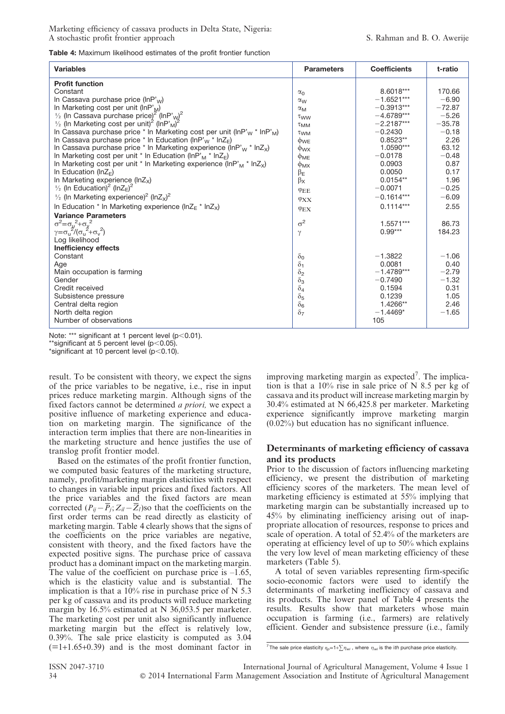Table 4: Maximum likelihood estimates of the profit frontier function

| <b>Variables</b>                                                                                | <b>Parameters</b>     | <b>Coefficients</b> | t-ratio  |
|-------------------------------------------------------------------------------------------------|-----------------------|---------------------|----------|
| <b>Profit function</b>                                                                          |                       |                     |          |
| Constant                                                                                        | $\alpha_0$            | 8.6018***           | 170.66   |
| In Cassava purchase price ( $lnP'_{W}$ )                                                        | $\alpha_{\rm W}$      | $-1.6521***$        | $-6.90$  |
| In Marketing cost per unit ( $lnPM$ )                                                           | $\alpha_{\mathsf{M}}$ | $-0.3913***$        | $-72.87$ |
| $\frac{1}{2}$ (In Cassava purchase price) <sup>2</sup> (InP' <sub>W</sub> ) <sup>2</sup>        | $\tau_{WW}$           | $-4.6789***$        | $-5.26$  |
| $\frac{1}{2}$ (In Marketing cost per unit) <sup>2</sup> (InP' <sub>M</sub> ) <sup>2</sup>       | $\tau$ <sub>MM</sub>  | $-2.2187***$        | $-35.78$ |
| In Cassava purchase price * In Marketing cost per unit (InP' <sub>w</sub> * InP' <sub>M</sub> ) | $\tau_{WM}$           | $-0.2430$           | $-0.18$  |
| In Cassava purchase price * In Education (InP' <sub>W</sub> * In $Z_{E}$ )                      | $\Phi$ <sub>WE</sub>  | $0.8523**$          | 2.26     |
| In Cassava purchase price $*$ In Marketing experience (InP' <sub>w</sub> $*$ InZ <sub>x</sub> ) | $\phi_{\text{WX}}$    | 1.0590***           | 63.12    |
| In Marketing cost per unit * In Education (InP' <sub>M</sub> * InZ <sub>F</sub> )               | $\Phi_{ME}$           | $-0.0178$           | $-0.48$  |
| In Marketing cost per unit * In Marketing experience (InP' <sub>M</sub> * InZ <sub>x</sub> )    | $\phi$ <sub>MX</sub>  | 0.0903              | 0.87     |
| In Education ( $ln ZE$ )                                                                        | $\beta$ E             | 0.0050              | 0.17     |
| In Marketing experience (InZx)                                                                  | $\beta_{\sf X}$       | $0.0154**$          | 1.96     |
| $\frac{1}{2}$ (In Education) <sup>2</sup> (InZ <sub>E</sub> ) <sup>2</sup>                      | $\varphi$ EE          | $-0.0071$           | $-0.25$  |
| $\frac{1}{2}$ (In Marketing experience) <sup>2</sup> (InZ <sub>x</sub> ) <sup>2</sup>           | $\varphi_{\rm XX}$    | $-0.1614***$        | $-6.09$  |
| In Education * In Marketing experience (In $Z_F$ * In $Z_x$ )                                   | $\varphi$ EX          | $0.1114***$         | 2.55     |
| <b>Variance Parameters</b>                                                                      |                       |                     |          |
| $\sigma^2 = \sigma_u^2 + \sigma_v^2$                                                            | $\sigma^2$            | 1.5571***           | 86.73    |
| $\gamma = \sigma_u^2/(\sigma_u^2 + \sigma_v^2)$                                                 | $\gamma$              | $0.99***$           | 184.23   |
| Log likelihood                                                                                  |                       |                     |          |
| <b>Inefficiency effects</b>                                                                     |                       |                     |          |
| Constant                                                                                        | $\delta_0$            | $-1.3822$           | $-1.06$  |
| Age                                                                                             | $\delta_1$            | 0.0081              | 0.40     |
| Main occupation is farming                                                                      | $\delta_2$            | $-1.4789***$        | $-2.79$  |
| Gender                                                                                          | $\delta_3$            | $-0.7490$           | $-1.32$  |
| Credit received                                                                                 | $\delta_4$            | 0.1594              | 0.31     |
| Subsistence pressure                                                                            | $\delta_5$            | 0.1239              | 1.05     |
| Central delta region                                                                            | $\delta_6$            | 1.4266**            | 2.46     |
| North delta region                                                                              | $\delta$ 7            | $-1.4469*$          | $-1.65$  |
| Number of observations                                                                          |                       | 105                 |          |

Note: \*\*\* significant at 1 percent level ( $p$ <0.01).

 $*$ significant at 5 percent level (p $<$ 0.05).

\*significant at 10 percent level ( $p$ <0.10).

result. To be consistent with theory, we expect the signs of the price variables to be negative, i.e., rise in input prices reduce marketing margin. Although signs of the fixed factors cannot be determined a priori, we expect a positive influence of marketing experience and education on marketing margin. The significance of the interaction term implies that there are non-linearities in the marketing structure and hence justifies the use of translog profit frontier model.

Based on the estimates of the profit frontier function, we computed basic features of the marketing structure, namely, profit/marketing margin elasticities with respect to changes in variable input prices and fixed factors. All the price variables and the fixed factors are mean corrected  $(P_{ij} - \overline{P}_j; Z_{il} - \overline{Z}_l)$  so that the coefficients on the first order terms can be read directly as elasticity of marketing margin. Table 4 clearly shows that the signs of the coefficients on the price variables are negative, consistent with theory, and the fixed factors have the expected positive signs. The purchase price of cassava product has a dominant impact on the marketing margin. The value of the coefficient on purchase price is  $-1.65$ , which is the elasticity value and is substantial. The implication is that a  $10\%$  rise in purchase price of N 5.3 per kg of cassava and its products will reduce marketing margin by 16.5% estimated at N 36,053.5 per marketer. The marketing cost per unit also significantly influence marketing margin but the effect is relatively low, 0.39%. The sale price elasticity is computed as 3.04  $(=1+1.65+0.39)$  and is the most dominant factor in

improving marketing margin as expected<sup>7</sup>. The implication is that a 10% rise in sale price of N 8.5 per kg of cassava and its product will increase marketing margin by 30.4% estimated at N 66,425.8 per marketer. Marketing experience significantly improve marketing margin (0.02%) but education has no significant influence.

#### Determinants of marketing efficiency of cassava and its products

Prior to the discussion of factors influencing marketing efficiency, we present the distribution of marketing efficiency scores of the marketers. The mean level of marketing efficiency is estimated at 55% implying that marketing margin can be substantially increased up to 45% by eliminating inefficiency arising out of inappropriate allocation of resources, response to prices and scale of operation. A total of 52.4% of the marketers are operating at efficiency level of up to 50% which explains the very low level of mean marketing efficiency of these marketers (Table 5).

A total of seven variables representing firm-specific socio-economic factors were used to identify the determinants of marketing inefficiency of cassava and its products. The lower panel of Table 4 presents the results. Results show that marketers whose main occupation is farming (i.e., farmers) are relatively efficient. Gender and subsistence pressure (i.e., family

<sup>&</sup>lt;sup>7</sup> The sale price elasticity  $\eta_{p}=1+\sum \eta_{wi}$ , where  $\eta_{wi}$  is the ith purchase price elasticity.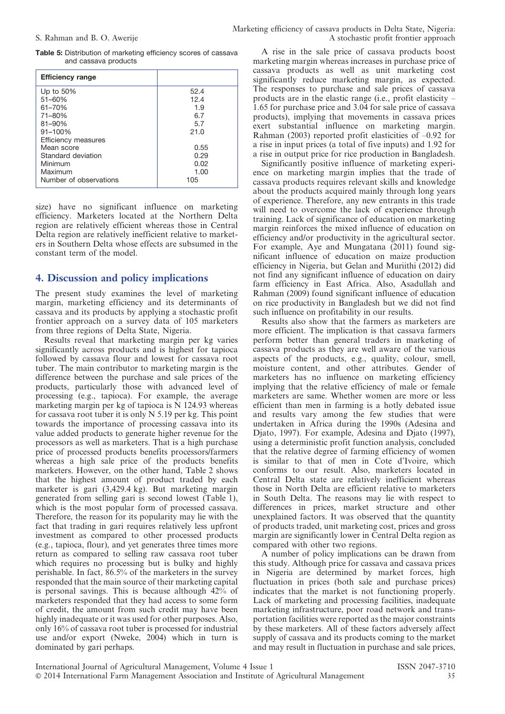|  | Table 5: Distribution of marketing efficiency scores of cassava |  |  |  |  |
|--|-----------------------------------------------------------------|--|--|--|--|
|  | and cassava products                                            |  |  |  |  |

| <b>Efficiency range</b>                                  |                                   |
|----------------------------------------------------------|-----------------------------------|
| Up to $50\%$<br>$51 - 60%$<br>61-70%<br>71-80%<br>81-90% | 52.4<br>12.4<br>1.9<br>6.7<br>5.7 |
| 91-100%<br>Efficiency measures                           | 21.0                              |
| Mean score<br>Standard deviation<br>Minimum<br>Maximum   | 0.55<br>0.29<br>0.02<br>1.00      |
| Number of observations                                   | 105                               |

size) have no significant influence on marketing efficiency. Marketers located at the Northern Delta region are relatively efficient whereas those in Central Delta region are relatively inefficient relative to marketers in Southern Delta whose effects are subsumed in the constant term of the model.

#### 4. Discussion and policy implications

The present study examines the level of marketing margin, marketing efficiency and its determinants of cassava and its products by applying a stochastic profit frontier approach on a survey data of 105 marketers from three regions of Delta State, Nigeria.

Results reveal that marketing margin per kg varies significantly across products and is highest for tapioca followed by cassava flour and lowest for cassava root tuber. The main contributor to marketing margin is the difference between the purchase and sale prices of the products, particularly those with advanced level of processing (e.g., tapioca). For example, the average marketing margin per kg of tapioca is  $\overline{N}$  124.93 whereas for cassava root tuber it is only  $N$  5.19 per kg. This point towards the importance of processing cassava into its value added products to generate higher revenue for the processors as well as marketers. That is a high purchase price of processed products benefits processors/farmers whereas a high sale price of the products benefits marketers. However, on the other hand, Table 2 shows that the highest amount of product traded by each marketer is gari (3,429.4 kg). But marketing margin generated from selling gari is second lowest (Table 1), which is the most popular form of processed cassava. Therefore, the reason for its popularity may lie with the fact that trading in gari requires relatively less upfront investment as compared to other processed products (e.g., tapioca, flour), and yet generates three times more return as compared to selling raw cassava root tuber which requires no processing but is bulky and highly perishable. In fact, 86.5% of the marketers in the survey responded that the main source of their marketing capital is personal savings. This is because although 42% of marketers responded that they had access to some form of credit, the amount from such credit may have been highly inadequate or it was used for other purposes. Also, only 16% of cassava root tuber is processed for industrial use and/or export (Nweke, 2004) which in turn is dominated by gari perhaps.

A rise in the sale price of cassava products boost marketing margin whereas increases in purchase price of cassava products as well as unit marketing cost significantly reduce marketing margin, as expected. The responses to purchase and sale prices of cassava products are in the elastic range (i.e., profit elasticity – 1.65 for purchase price and 3.04 for sale price of cassava products), implying that movements in cassava prices exert substantial influence on marketing margin. Rahman (2003) reported profit elasticities of –0.92 for a rise in input prices (a total of five inputs) and 1.92 for a rise in output price for rice production in Bangladesh.

Significantly positive influence of marketing experience on marketing margin implies that the trade of cassava products requires relevant skills and knowledge about the products acquired mainly through long years of experience. Therefore, any new entrants in this trade will need to overcome the lack of experience through training. Lack of significance of education on marketing margin reinforces the mixed influence of education on efficiency and/or productivity in the agricultural sector. For example, Aye and Mungatana (2011) found significant influence of education on maize production efficiency in Nigeria, but Gelan and Muriithi (2012) did not find any significant influence of education on dairy farm efficiency in East Africa. Also, Asadullah and Rahman (2009) found significant influence of education on rice productivity in Bangladesh but we did not find such influence on profitability in our results.

Results also show that the farmers as marketers are more efficient. The implication is that cassava farmers perform better than general traders in marketing of cassava products as they are well aware of the various aspects of the products, e.g., quality, colour, smell, moisture content, and other attributes. Gender of marketers has no influence on marketing efficiency implying that the relative efficiency of male or female marketers are same. Whether women are more or less efficient than men in farming is a hotly debated issue and results vary among the few studies that were undertaken in Africa during the 1990s (Adesina and Djato, 1997). For example, Adesina and Djato (1997), using a deterministic profit function analysis, concluded that the relative degree of farming efficiency of women is similar to that of men in Cote d'Ivoire, which conforms to our result. Also, marketers located in Central Delta state are relatively inefficient whereas those in North Delta are efficient relative to marketers in South Delta. The reasons may lie with respect to differences in prices, market structure and other unexplained factors. It was observed that the quantity of products traded, unit marketing cost, prices and gross margin are significantly lower in Central Delta region as compared with other two regions.

A number of policy implications can be drawn from this study. Although price for cassava and cassava prices in Nigeria are determined by market forces, high fluctuation in prices (both sale and purchase prices) indicates that the market is not functioning properly. Lack of marketing and processing facilities, inadequate marketing infrastructure, poor road network and transportation facilities were reported as the major constraints by these marketers. All of these factors adversely affect supply of cassava and its products coming to the market and may result in fluctuation in purchase and sale prices,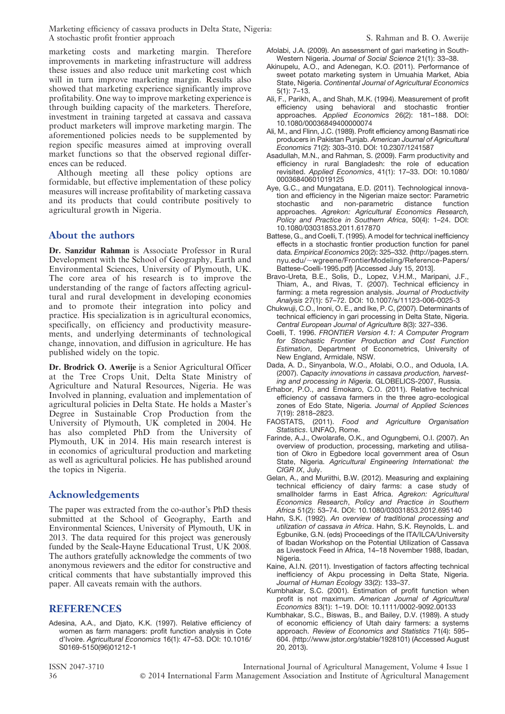marketing costs and marketing margin. Therefore improvements in marketing infrastructure will address these issues and also reduce unit marketing cost which will in turn improve marketing margin. Results also showed that marketing experience significantly improve profitability. One way to improve marketing experience is through building capacity of the marketers. Therefore, investment in training targeted at cassava and cassava product marketers will improve marketing margin. The aforementioned policies needs to be supplemented by region specific measures aimed at improving overall market functions so that the observed regional differences can be reduced.

Although meeting all these policy options are formidable, but effective implementation of these policy measures will increase profitability of marketing cassava and its products that could contribute positively to agricultural growth in Nigeria.

### About the authors

Dr. Sanzidur Rahman is Associate Professor in Rural Development with the School of Geography, Earth and Environmental Sciences, University of Plymouth, UK. The core area of his research is to improve the understanding of the range of factors affecting agricultural and rural development in developing economies and to promote their integration into policy and practice. His specialization is in agricultural economics, specifically, on efficiency and productivity measurements, and underlying determinants of technological change, innovation, and diffusion in agriculture. He has published widely on the topic.

Dr. Brodrick O. Awerije is a Senior Agricultural Officer at the Tree Crops Unit, Delta State Ministry of Agriculture and Natural Resources, Nigeria. He was Involved in planning, evaluation and implementation of agricultural policies in Delta State. He holds a Master's Degree in Sustainable Crop Production from the University of Plymouth, UK completed in 2004. He has also completed PhD from the University of Plymouth, UK in 2014. His main research interest is in economics of agricultural production and marketing as well as agricultural policies. He has published around the topics in Nigeria.

### Acknowledgements

The paper was extracted from the co-author's PhD thesis submitted at the School of Geography, Earth and Environmental Sciences, University of Plymouth, UK in 2013. The data required for this project was generously funded by the Seale-Hayne Educational Trust, UK 2008. The authors gratefully acknowledge the comments of two anonymous reviewers and the editor for constructive and critical comments that have substantially improved this paper. All caveats remain with the authors.

### REFERENCES

Adesina, A.A., and Djato, K.K. (1997). Relative efficiency of women as farm managers: profit function analysis in Cote d'Ivoire. Agricultural Economics 16(1): 47–53. DOI: 10.1016/ S0169-5150(96)01212-1

- Afolabi, J.A. (2009). An assessment of gari marketing in South-Western Nigeria. Journal of Social Science 21(1): 33–38.
- Akinupelu, A.O., and Adenegan, K.O. (2011). Performance of sweet potato marketing system in Umuahia Market, Abia State, Nigeria. Continental Journal of Agricultural Economics 5(1): 7–13.
- Ali, F., Parikh, A., and Shah, M.K. (1994). Measurement of profit efficiency using behavioral and stochastic frontier approaches. Applied Economics 26(2): 181–188. DOI: 10.1080/00036849400000074
- Ali, M., and Flinn, J.C. (1989). Profit efficiency among Basmati rice producers in Pakistan Punjab. American Journal of Agricultural Economics 71(2): 303–310. DOI: 10.2307/1241587
- Asadullah, M.N., and Rahman, S. (2009). Farm productivity and efficiency in rural Bangladesh: the role of education revisited. Applied Economics, 41(1): 17–33. DOI: 10.1080/ 00036840601019125
- Aye, G.C., and Mungatana, E.D. (2011). Technological innovation and efficiency in the Nigerian maize sector: Parametric stochastic and non-parametric distance function approaches. Agrekon: Agricultural Economics Research, Policy and Practice in Southern Africa, 50(4): 1–24. DOI: 10.1080/03031853.2011.617870
- Battese, G., and Coelli, T. (1995). A model for technical inefficiency effects in a stochastic frontier production function for panel data. Empirical Economics 20(2): 325–332. ([http://pages.stern.](http://pages.stern.nyu.edu/~wgreene/FrontierModeling/Reference-Papers/Battese-Coelli-1995.pdf) nyu.edu/~[wgreene/FrontierModeling/Reference-Papers/](http://pages.stern.nyu.edu/~wgreene/FrontierModeling/Reference-Papers/Battese-Coelli-1995.pdf) [Battese-Coelli-1995.pdf](http://pages.stern.nyu.edu/~wgreene/FrontierModeling/Reference-Papers/Battese-Coelli-1995.pdf)) [Accessed July 15, 2013].
- Bravo-Ureta, B.E., Solis, D., Lopez, V.H.M., Maripani, J.F., Thiam, A., and Rivas, T. (2007). Technical efficiency in farming: a meta regression analysis. Journal of Productivity Analysis 27(1): 57–72. DOI: 10.1007/s/11123-006-0025-3
- Chukwuji, C.O., Inoni, O. E., and Ike, P. C, (2007). Determinants of technical efficiency in gari processing in Delta State, Nigeria. Central European Journal of Agriculture 8(3): 327–336.
- Coelli, T. 1996. FRONTIER Version 4.1: A Computer Program for Stochastic Frontier Production and Cost Function Estimation, Department of Econometrics, University of New England, Armidale, NSW.
- Dada, A. D., Sinyanbola, W.O., Afolabi, O.O., and Oduola, I.A. (2007). Capacity innovations in cassava production, harvesting and processing in Nigeria. GLOBELICS-2007, Russia.
- Erhabor, P.O., and Emokaro, C.O. (2011). Relative technical efficiency of cassava farmers in the three agro-ecological zones of Edo State, Nigeria. Journal of Applied Sciences 7(19): 2818–2823.
- FAOSTATS, (2011). Food and Agriculture Organisation Statistics. UNFAO, Rome.
- Farinde, A.J., Owolarafe, O.K., and Ogungbemi, O.I. (2007). An overview of production, processing, marketing and utilisation of Okro in Egbedore local government area of Osun State, Nigeria. Agricultural Engineering International: the CIGR IX, July.
- Gelan, A., and Muriithi, B.W. (2012). Measuring and explaining technical efficiency of dairy farms: a case study of smallholder farms in East Africa. Agrekon: Agricultural Economics Research, Policy and Practice in Southern Africa 51(2): 53–74. DOI: 10.1080/03031853.2012.695140
- Hahn, S.K. (1992). An overview of traditional processing and utilization of cassava in Africa. Hahn, S.K. Reynolds, L. and Egbunike, G.N. (eds) Proceedings of the ITA/ILCA/University of Ibadan Workshop on the Potential Utilization of Cassava as Livestock Feed in Africa, 14–18 November 1988, Ibadan, Nigeria.
- Kaine, A.I.N. (2011). Investigation of factors affecting technical inefficiency of Akpu processing in Delta State, Nigeria. Journal of Human Ecology 33(2): 133–37.
- Kumbhakar, S.C. (2001). Estimation of profit function when profit is not maximum. American Journal of Agricultural Economics 83(1): 1–19. DOI: 10.1111/0002-9092.00133
- Kumbhakar, S.C., Biswas, B., and Bailey, D.V. (1989). A study of economic efficiency of Utah dairy farmers: a systems approach. Review of Economics and Statistics 71(4): 595– 604. (http://www.jstor.org/stable/1928101) (Accessed August 20, 2013).